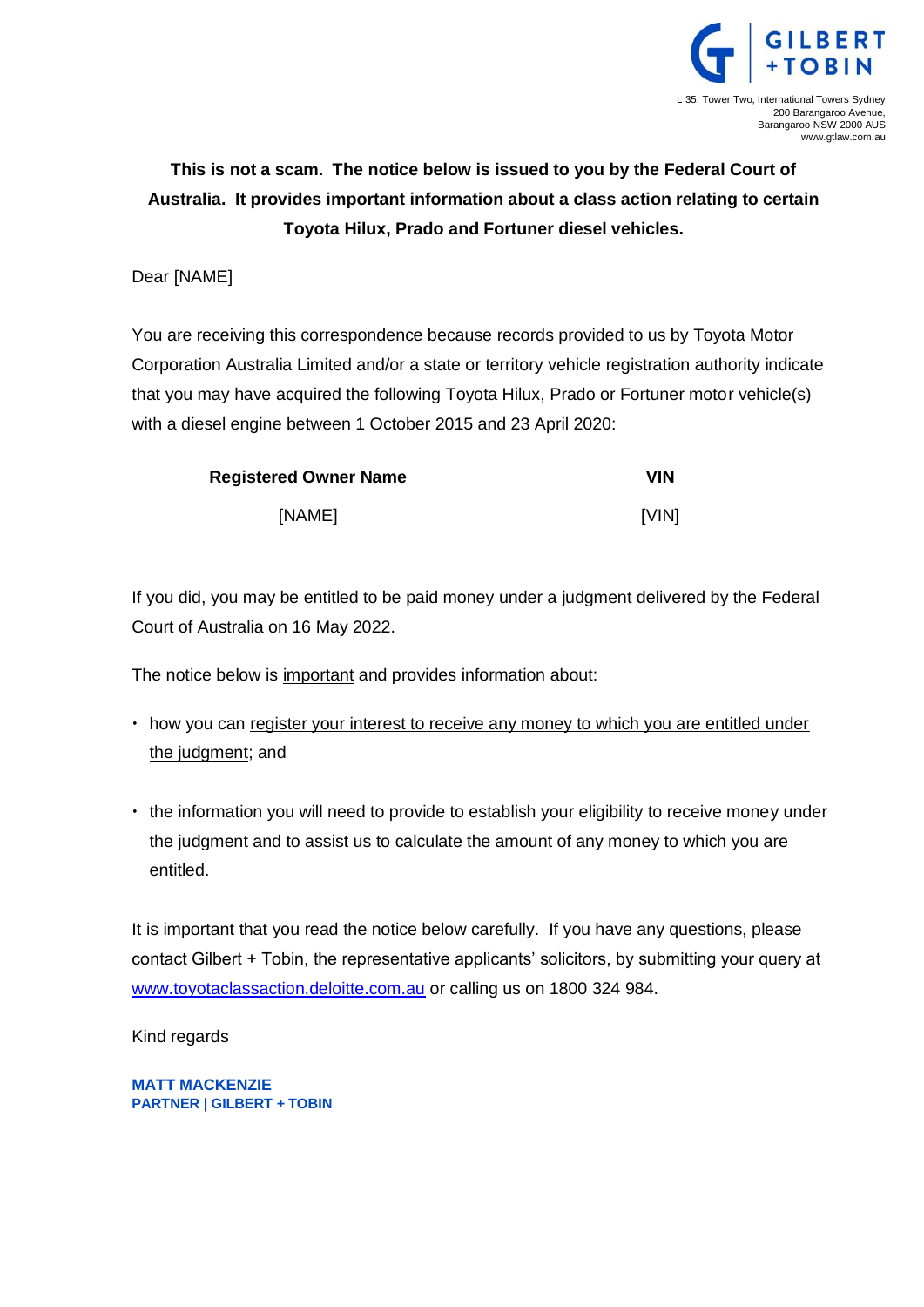

# **This is not a scam. The notice below is issued to you by the Federal Court of Australia. It provides important information about a class action relating to certain Toyota Hilux, Prado and Fortuner diesel vehicles.**

### Dear [NAME]

You are receiving this correspondence because records provided to us by Toyota Motor Corporation Australia Limited and/or a state or territory vehicle registration authority indicate that you may have acquired the following Toyota Hilux, Prado or Fortuner motor vehicle(s) with a diesel engine between 1 October 2015 and 23 April 2020:

| <b>Registered Owner Name</b> | VIN   |
|------------------------------|-------|
| [NAME]                       | [VIN] |

If you did, you may be entitled to be paid money under a judgment delivered by the Federal Court of Australia on 16 May 2022.

The notice below is important and provides information about:

- how you can register your interest to receive any money to which you are entitled under the judgment; and
- the information you will need to provide to establish your eligibility to receive money under the judgment and to assist us to calculate the amount of any money to which you are entitled.

It is important that you read the notice below carefully. If you have any questions, please contact Gilbert + Tobin, the representative applicants' solicitors, by submitting your query at [www.toyotaclassaction.deloitte.com.au](http://www.toyotaclassaction.deloitte.com.au/) or calling us on 1800 324 984.

Kind regards

**MATT MACKENZIE PARTNER | GILBERT + TOBIN**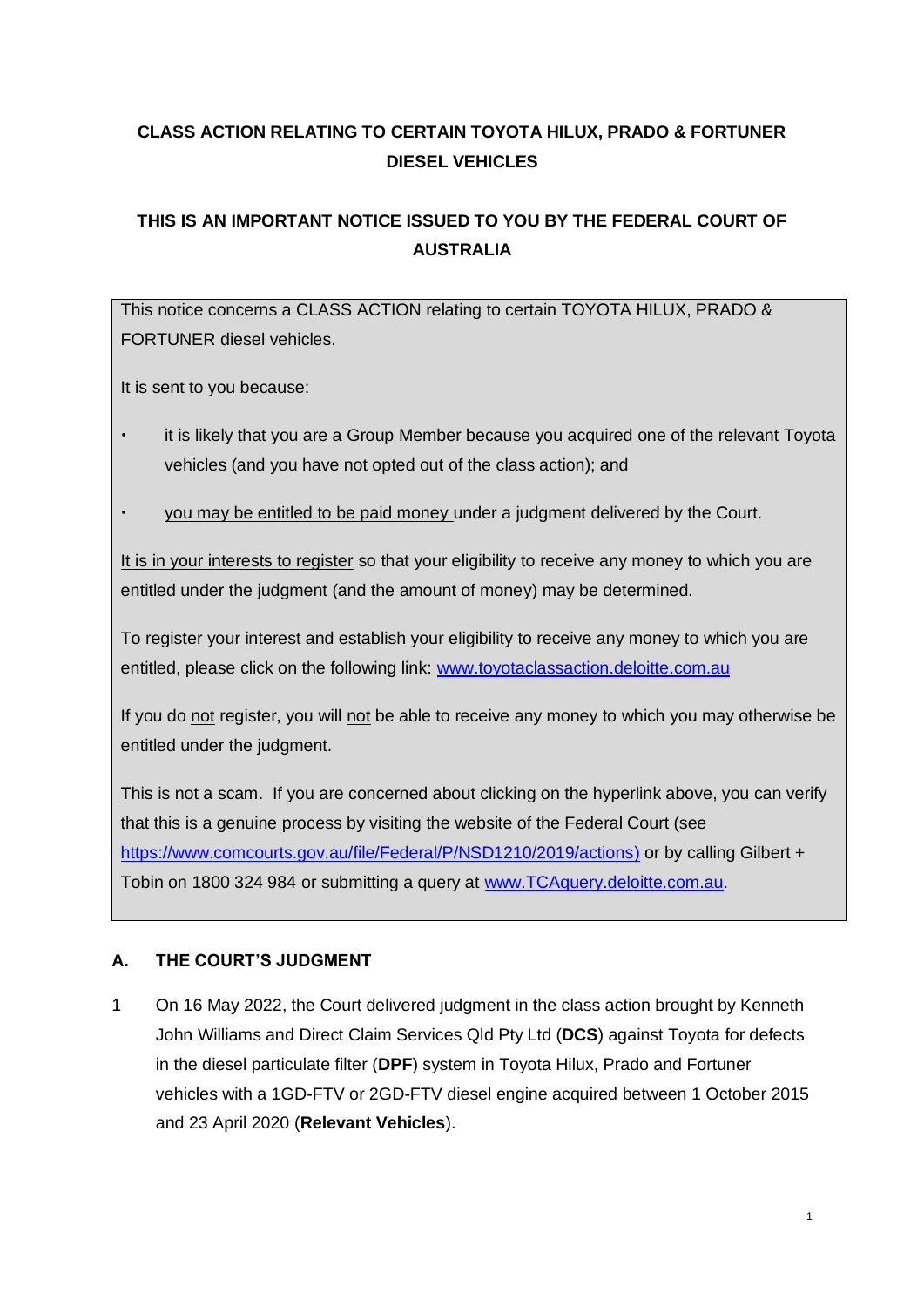# **CLASS ACTION RELATING TO CERTAIN TOYOTA HILUX, PRADO & FORTUNER DIESEL VEHICLES**

## **THIS IS AN IMPORTANT NOTICE ISSUED TO YOU BY THE FEDERAL COURT OF AUSTRALIA**

This notice concerns a CLASS ACTION relating to certain TOYOTA HILUX, PRADO & FORTUNER diesel vehicles.

It is sent to you because:

- it is likely that you are a Group Member because you acquired one of the relevant Toyota vehicles (and you have not opted out of the class action); and
- you may be entitled to be paid money under a judgment delivered by the Court.

It is in your interests to register so that your eligibility to receive any money to which you are entitled under the judgment (and the amount of money) may be determined.

To register your interest and establish your eligibility to receive any money to which you are entitled, please click on the following link: [www.toyotaclassaction.deloitte.com.au](http://www.toyotaclassaction.deloitte.com.au/)

If you do not register, you will not be able to receive any money to which you may otherwise be entitled under the judgment.

This is not a scam. If you are concerned about clicking on the hyperlink above, you can verify that this is a genuine process by visiting the website of the Federal Court (see [https://www.comcourts.gov.au/file/Federal/P/NSD1210/2019/actions\)](https://www.comcourts.gov.au/file/Federal/P/NSD1210/2019/actions) or by calling Gilbert + Tobin on 1800 324 984 or submitting a query at [www.TCAquery.deloitte.com.au.](http://www.tcaquery.deloitte.com.au/)

### **A. THE COURT'S JUDGMENT**

1 On 16 May 2022, the Court delivered judgment in the class action brought by Kenneth John Williams and Direct Claim Services Qld Pty Ltd (**DCS**) against Toyota for defects in the diesel particulate filter (**DPF**) system in Toyota Hilux, Prado and Fortuner vehicles with a 1GD-FTV or 2GD-FTV diesel engine acquired between 1 October 2015 and 23 April 2020 (**Relevant Vehicles**).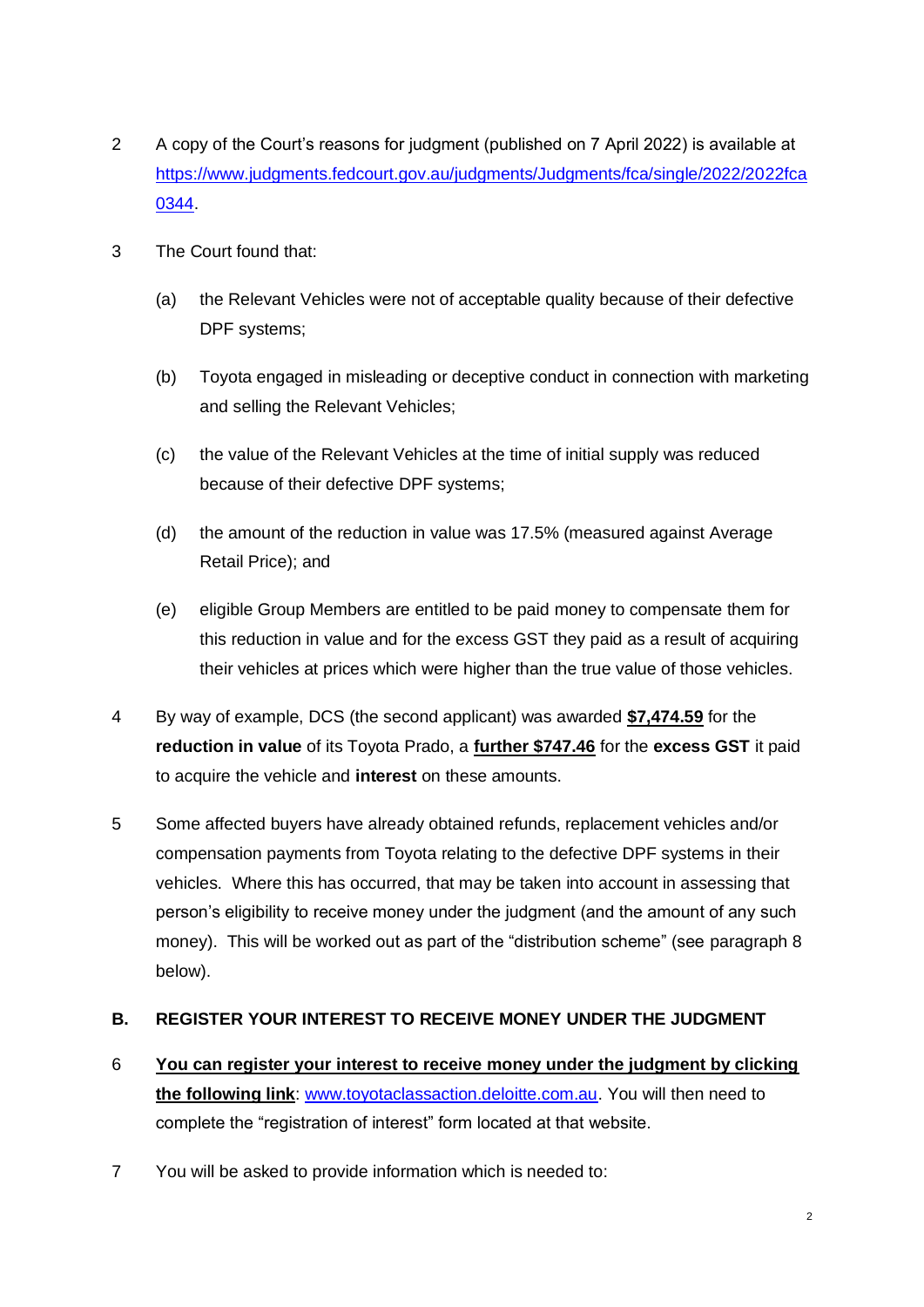- 2 A copy of the Court's reasons for judgment (published on 7 April 2022) is available at [https://www.judgments.fedcourt.gov.au/judgments/Judgments/fca/single/2022/2022fca](https://www.judgments.fedcourt.gov.au/judgments/Judgments/fca/single/2022/2022fca0344) [0344.](https://www.judgments.fedcourt.gov.au/judgments/Judgments/fca/single/2022/2022fca0344)
- 3 The Court found that:
	- (a) the Relevant Vehicles were not of acceptable quality because of their defective DPF systems;
	- (b) Toyota engaged in misleading or deceptive conduct in connection with marketing and selling the Relevant Vehicles;
	- (c) the value of the Relevant Vehicles at the time of initial supply was reduced because of their defective DPF systems;
	- (d) the amount of the reduction in value was 17.5% (measured against Average Retail Price); and
	- (e) eligible Group Members are entitled to be paid money to compensate them for this reduction in value and for the excess GST they paid as a result of acquiring their vehicles at prices which were higher than the true value of those vehicles.
- 4 By way of example, DCS (the second applicant) was awarded **\$7,474.59** for the **reduction in value** of its Toyota Prado, a **further \$747.46** for the **excess GST** it paid to acquire the vehicle and **interest** on these amounts.
- 5 Some affected buyers have already obtained refunds, replacement vehicles and/or compensation payments from Toyota relating to the defective DPF systems in their vehicles. Where this has occurred, that may be taken into account in assessing that person's eligibility to receive money under the judgment (and the amount of any such money). This will be worked out as part of the "distribution scheme" (see paragraph 8 below).

### **B. REGISTER YOUR INTEREST TO RECEIVE MONEY UNDER THE JUDGMENT**

- 6 **You can register your interest to receive money under the judgment by clicking the following link**: [www.toyotaclassaction.deloitte.com.au.](http://www.toyotaclassaction.deloitte.com.au/) You will then need to complete the "registration of interest" form located at that website.
- 7 You will be asked to provide information which is needed to: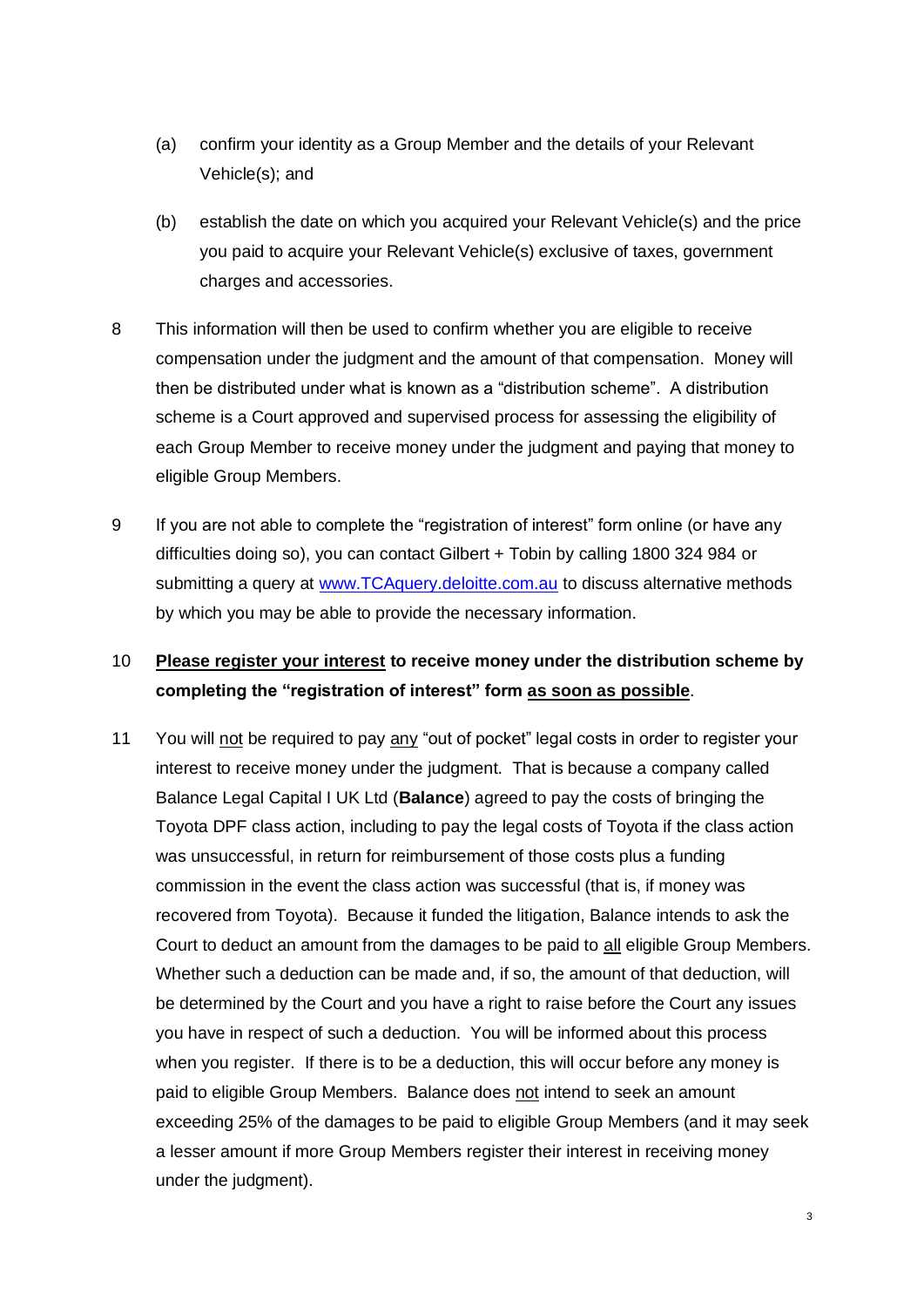- (a) confirm your identity as a Group Member and the details of your Relevant Vehicle(s); and
- (b) establish the date on which you acquired your Relevant Vehicle(s) and the price you paid to acquire your Relevant Vehicle(s) exclusive of taxes, government charges and accessories.
- 8 This information will then be used to confirm whether you are eligible to receive compensation under the judgment and the amount of that compensation. Money will then be distributed under what is known as a "distribution scheme". A distribution scheme is a Court approved and supervised process for assessing the eligibility of each Group Member to receive money under the judgment and paying that money to eligible Group Members.
- 9 If you are not able to complete the "registration of interest" form online (or have any difficulties doing so), you can contact Gilbert + Tobin by calling 1800 324 984 or submitting a query at [www.TCAquery.deloitte.com.au](http://www.tcaquery.deloitte.com.au/) to discuss alternative methods by which you may be able to provide the necessary information.

### 10 **Please register your interest to receive money under the distribution scheme by completing the "registration of interest" form as soon as possible**.

11 You will not be required to pay any "out of pocket" legal costs in order to register your interest to receive money under the judgment. That is because a company called Balance Legal Capital I UK Ltd (**Balance**) agreed to pay the costs of bringing the Toyota DPF class action, including to pay the legal costs of Toyota if the class action was unsuccessful, in return for reimbursement of those costs plus a funding commission in the event the class action was successful (that is, if money was recovered from Toyota). Because it funded the litigation, Balance intends to ask the Court to deduct an amount from the damages to be paid to all eligible Group Members. Whether such a deduction can be made and, if so, the amount of that deduction, will be determined by the Court and you have a right to raise before the Court any issues you have in respect of such a deduction. You will be informed about this process when you register. If there is to be a deduction, this will occur before any money is paid to eligible Group Members. Balance does not intend to seek an amount exceeding 25% of the damages to be paid to eligible Group Members (and it may seek a lesser amount if more Group Members register their interest in receiving money under the judgment).